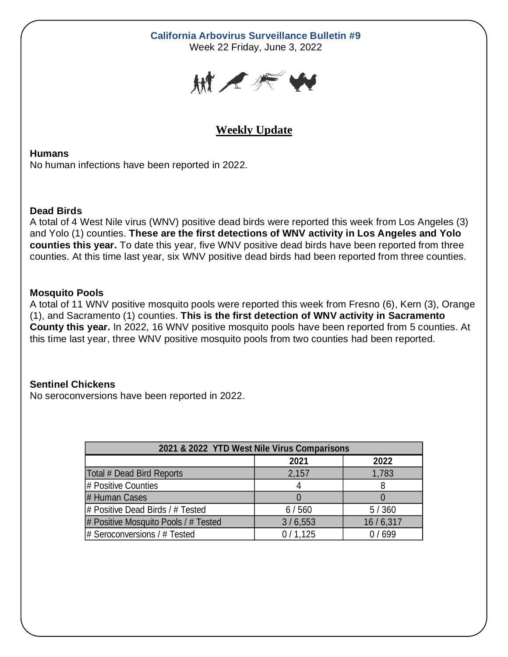# **California Arbovirus Surveillance Bulletin #9**

Week 22 Friday, June 3, 2022



# **Weekly Update**

#### **Humans**

No human infections have been reported in 2022.

## **Dead Birds**

A total of 4 West Nile virus (WNV) positive dead birds were reported this week from Los Angeles (3) and Yolo (1) counties. **These are the first detections of WNV activity in Los Angeles and Yolo counties this year.** To date this year, five WNV positive dead birds have been reported from three counties. At this time last year, six WNV positive dead birds had been reported from three counties.

## **Mosquito Pools**

A total of 11 WNV positive mosquito pools were reported this week from Fresno (6), Kern (3), Orange (1), and Sacramento (1) counties. **This is the first detection of WNV activity in Sacramento County this year.** In 2022, 16 WNV positive mosquito pools have been reported from 5 counties. At this time last year, three WNV positive mosquito pools from two counties had been reported.

## **Sentinel Chickens**

No seroconversions have been reported in 2022.

| 2021 & 2022 YTD West Nile Virus Comparisons |         |          |  |  |  |  |
|---------------------------------------------|---------|----------|--|--|--|--|
|                                             | 2021    | 2022     |  |  |  |  |
| Total # Dead Bird Reports                   | 2,157   | 1,783    |  |  |  |  |
| # Positive Counties                         | 4       | 8        |  |  |  |  |
| # Human Cases                               |         |          |  |  |  |  |
| # Positive Dead Birds / # Tested            | 6/560   | 5/360    |  |  |  |  |
| # Positive Mosquito Pools / # Tested        | 3/6,553 | 16/6,317 |  |  |  |  |
| # Seroconversions / # Tested                | 0/1,125 | 0/699    |  |  |  |  |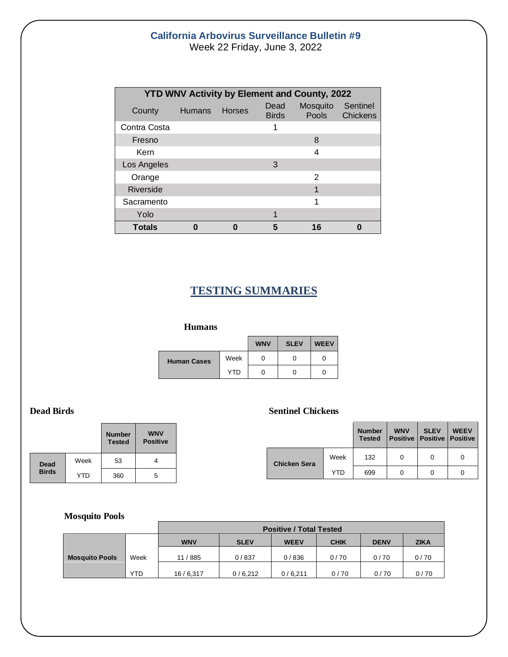## **California Arbovirus Surveillance Bulletin #9** Week 22 Friday, June 3, 2022

| <b>YTD WNV Activity by Element and County, 2022</b> |               |        |                      |                          |                             |  |  |  |  |
|-----------------------------------------------------|---------------|--------|----------------------|--------------------------|-----------------------------|--|--|--|--|
| County                                              | <b>Humans</b> | Horses | Dead<br><b>Birds</b> | Mosquito<br><b>Pools</b> | Sentinel<br><b>Chickens</b> |  |  |  |  |
| Contra Costa                                        |               |        | 1                    |                          |                             |  |  |  |  |
| Fresno                                              |               |        |                      | 8                        |                             |  |  |  |  |
| Kern                                                |               |        |                      | 4                        |                             |  |  |  |  |
| Los Angeles                                         |               |        | 3                    |                          |                             |  |  |  |  |
| Orange                                              |               |        |                      | 2                        |                             |  |  |  |  |
| <b>Riverside</b>                                    |               |        |                      | 1                        |                             |  |  |  |  |
| Sacramento                                          |               |        |                      | 1                        |                             |  |  |  |  |
| Yolo                                                |               |        | 1                    |                          |                             |  |  |  |  |
| <b>Totals</b>                                       |               |        |                      | 16                       |                             |  |  |  |  |

# **TESTING SUMMARIES**

#### **Humans**

|                    |            | <b>WNV</b> | <b>SLEV</b> | <b>WEEV</b> |
|--------------------|------------|------------|-------------|-------------|
| <b>Human Cases</b> | Week       |            | O           |             |
|                    | <b>YTD</b> |            | O           |             |

|              |      | <b>Number</b><br><b>Tested</b> | <b>WNV</b><br><b>Positive</b> |
|--------------|------|--------------------------------|-------------------------------|
| <b>Dead</b>  | Week | 53                             |                               |
| <b>Birds</b> | YTD  | 360                            | 5                             |

#### **Dead Birds Sentinel Chickens**

|                     |      | <b>Number</b><br><b>Tested</b> | <b>WNV</b><br>Positive   Positive   Positive | <b>SLEV</b> | <b>WEEV</b> |
|---------------------|------|--------------------------------|----------------------------------------------|-------------|-------------|
| <b>Chicken Sera</b> | Week | 132                            |                                              | 0           | 0           |
|                     | YTD  | 699                            |                                              | O           |             |

#### **Mosquito Pools**

|                       |            |            |             | <b>Positive / Total Tested</b> |             |             |             |
|-----------------------|------------|------------|-------------|--------------------------------|-------------|-------------|-------------|
|                       |            | <b>WNV</b> | <b>SLEV</b> | <b>WEEV</b>                    | <b>CHIK</b> | <b>DENV</b> | <b>ZIKA</b> |
| <b>Mosquito Pools</b> | Week       | 11 / 885   | 0/837       | 0/836                          | 0/70        | 0/70        | 0/70        |
|                       | <b>YTD</b> | 16/6,317   | 0/6,212     | 0/6,211                        | 0/70        | 0/70        | 0/70        |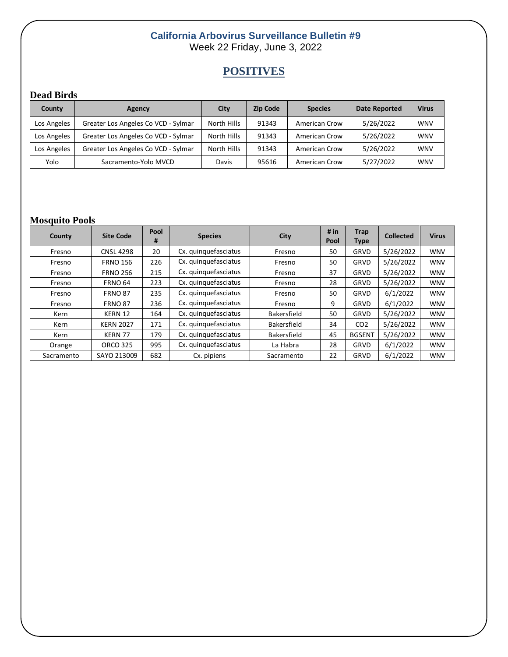## **California Arbovirus Surveillance Bulletin #9** Week 22 Friday, June 3, 2022

# **POSITIVES**

## **Dead Birds**

| County      | Agency                              | City        | <b>Zip Code</b> | <b>Species</b>       | Date Reported | <b>Virus</b> |
|-------------|-------------------------------------|-------------|-----------------|----------------------|---------------|--------------|
| Los Angeles | Greater Los Angeles Co VCD - Sylmar | North Hills | 91343           | <b>American Crow</b> | 5/26/2022     | <b>WNV</b>   |
| Los Angeles | Greater Los Angeles Co VCD - Sylmar | North Hills | 91343           | <b>American Crow</b> | 5/26/2022     | <b>WNV</b>   |
| Los Angeles | Greater Los Angeles Co VCD - Sylmar | North Hills | 91343           | <b>American Crow</b> | 5/26/2022     | <b>WNV</b>   |
| Yolo        | Sacramento-Yolo MVCD                | Davis       | 95616           | American Crow        | 5/27/2022     | <b>WNV</b>   |

# **Mosquito Pools**

| County     | <b>Site Code</b> | Pool<br># | <b>Species</b>       | City               | # in<br><b>Pool</b> | <b>Trap</b><br><b>Type</b> | <b>Collected</b> | <b>Virus</b> |
|------------|------------------|-----------|----------------------|--------------------|---------------------|----------------------------|------------------|--------------|
| Fresno     | <b>CNSL 4298</b> | 20        | Cx. quinquefasciatus | Fresno             | 50                  | <b>GRVD</b>                | 5/26/2022        | <b>WNV</b>   |
| Fresno     | <b>FRNO 156</b>  | 226       | Cx. quinquefasciatus | Fresno             | 50                  | <b>GRVD</b>                | 5/26/2022        | <b>WNV</b>   |
| Fresno     | <b>FRNO 256</b>  | 215       | Cx. quinquefasciatus | Fresno             | 37                  | GRVD                       | 5/26/2022        | <b>WNV</b>   |
| Fresno     | <b>FRNO 64</b>   | 223       | Cx. quinquefasciatus | Fresno             | 28                  | <b>GRVD</b>                | 5/26/2022        | <b>WNV</b>   |
| Fresno     | <b>FRNO 87</b>   | 235       | Cx. quinquefasciatus | Fresno             | 50                  | <b>GRVD</b>                | 6/1/2022         | <b>WNV</b>   |
| Fresno     | <b>FRNO 87</b>   | 236       | Cx. quinquefasciatus | Fresno             | 9                   | <b>GRVD</b>                | 6/1/2022         | <b>WNV</b>   |
| Kern       | KERN 12          | 164       | Cx. quinquefasciatus | <b>Bakersfield</b> | 50                  | GRVD                       | 5/26/2022        | <b>WNV</b>   |
| Kern       | <b>KERN 2027</b> | 171       | Cx. quinquefasciatus | <b>Bakersfield</b> | 34                  | CO <sub>2</sub>            | 5/26/2022        | <b>WNV</b>   |
| Kern       | KERN 77          | 179       | Cx. quinquefasciatus | <b>Bakersfield</b> | 45                  | <b>BGSENT</b>              | 5/26/2022        | <b>WNV</b>   |
| Orange     | <b>ORCO 325</b>  | 995       | Cx. quinquefasciatus | La Habra           | 28                  | GRVD                       | 6/1/2022         | <b>WNV</b>   |
| Sacramento | SAYO 213009      | 682       | Cx. pipiens          | Sacramento         | 22                  | GRVD                       | 6/1/2022         | <b>WNV</b>   |